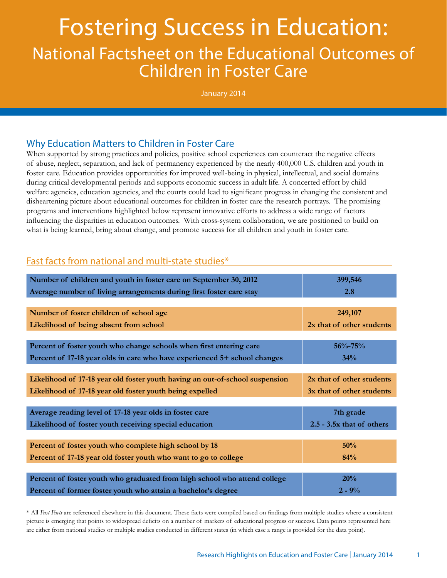# Fostering Success in Education: National Factsheet on the Educational Outcomes of Children in Foster Care

January 2014

# Why Education Matters to Children in Foster Care

When supported by strong practices and policies, positive school experiences can counteract the negative effects of abuse, neglect, separation, and lack of permanency experienced by the nearly 400,000 U.S. children and youth in foster care. Education provides opportunities for improved well-being in physical, intellectual, and social domains during critical developmental periods and supports economic success in adult life. A concerted effort by child welfare agencies, education agencies, and the courts could lead to significant progress in changing the consistent and disheartening picture about educational outcomes for children in foster care the research portrays. The promising programs and interventions highlighted below represent innovative efforts to address a wide range of factors influencing the disparities in education outcomes. With cross-system collaboration, we are positioned to build on what is being learned, bring about change, and promote success for all children and youth in foster care.

## Fast facts from national and multi-state studies\*

| Number of children and youth in foster care on September 30, 2012<br>Average number of living arrangements during first foster care stay | 399,546<br>2.8              |  |
|------------------------------------------------------------------------------------------------------------------------------------------|-----------------------------|--|
|                                                                                                                                          |                             |  |
| Number of foster children of school age                                                                                                  | 249,107                     |  |
| Likelihood of being absent from school                                                                                                   | 2x that of other students   |  |
|                                                                                                                                          |                             |  |
| Percent of foster youth who change schools when first entering care                                                                      | $56\% - 75\%$               |  |
| Percent of 17-18 year olds in care who have experienced 5+ school changes                                                                | 34%                         |  |
|                                                                                                                                          |                             |  |
| Likelihood of 17-18 year old foster youth having an out-of-school suspension                                                             | 2x that of other students   |  |
| Likelihood of 17-18 year old foster youth being expelled                                                                                 | 3x that of other students   |  |
|                                                                                                                                          |                             |  |
| Average reading level of 17-18 year olds in foster care                                                                                  | 7th grade                   |  |
| Likelihood of foster youth receiving special education                                                                                   | $2.5 - 3.5x$ that of others |  |
|                                                                                                                                          |                             |  |
| Percent of foster youth who complete high school by 18                                                                                   | 50%                         |  |
| Percent of 17-18 year old foster youth who want to go to college                                                                         | 84%                         |  |
|                                                                                                                                          |                             |  |
| Percent of foster youth who graduated from high school who attend college                                                                | 20%                         |  |
| Percent of former foster youth who attain a bachelor's degree                                                                            | $2 - 9\%$                   |  |

\* All *Fast Facts* are referenced elsewhere in this document. These facts were compiled based on findings from multiple studies where a consistent picture is emerging that points to widespread deficits on a number of markers of educational progress or success. Data points represented here are either from national studies or multiple studies conducted in different states (in which case a range is provided for the data point).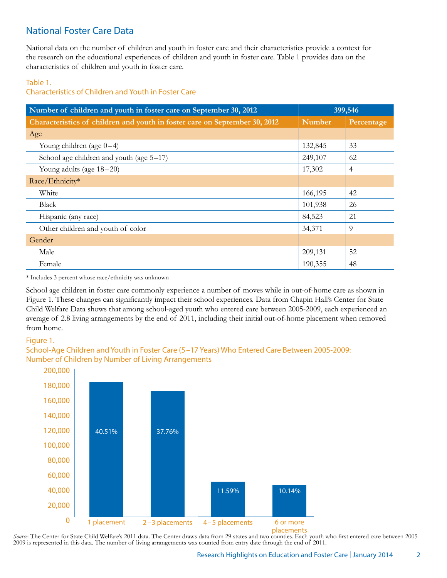# National Foster Care Data

National data on the number of children and youth in foster care and their characteristics provide a context for the research on the educational experiences of children and youth in foster care. Table 1 provides data on the characteristics of children and youth in foster care.

#### Table 1.

Characteristics of Children and Youth in Foster Care

| Number of children and youth in foster care on September 30, 2012          | 399,546       |            |
|----------------------------------------------------------------------------|---------------|------------|
| Characteristics of children and youth in foster care on September 30, 2012 | <b>Number</b> | Percentage |
| Age                                                                        |               |            |
| Young children (age $0-4$ )                                                | 132,845       | 33         |
| School age children and youth (age $5-17$ )                                | 249,107       | 62         |
| Young adults (age 18-20)                                                   | 17,302        | 4          |
| Race/Ethnicity*                                                            |               |            |
| White                                                                      | 166,195       | 42         |
| Black                                                                      | 101,938       | 26         |
| Hispanic (any race)                                                        | 84,523        | 21         |
| Other children and youth of color                                          | 34,371        | 9          |
| Gender                                                                     |               |            |
| Male                                                                       | 209,131       | 52         |
| Female                                                                     | 190,355       | 48         |

\* Includes 3 percent whose race/ethnicity was unknown

School age children in foster care commonly experience a number of moves while in out-of-home care as shown in Figure 1. These changes can significantly impact their school experiences. Data from Chapin Hall's Center for State Child Welfare Data shows that among school-aged youth who entered care between 2005-2009, each experienced an average of 2.8 living arrangements by the end of 2011, including their initial out-of-home placement when removed from home.

#### Figure 1.

## School-Age Children and Youth in Foster Care (5–17 Years) Who Entered Care Between 2005-2009: Number of Children by Number of Living Arrangements



2009 is represented in this data. The number of living arrangements was counted from entry date through the end of 2011. Source: The Center for State Child Welfare's 2011 data. The Center draws data from 29 states and two counties. Each youth who first entered care between 2005-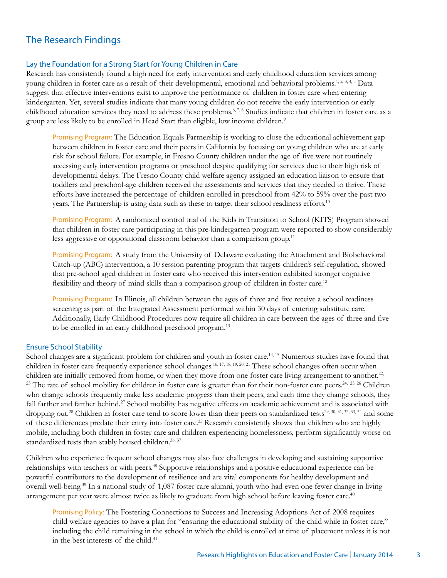# The Research Findings

#### Lay the Foundation for a Strong Start for Young Children in Care

Research has consistently found a high need for early intervention and early childhood education services among young children in foster care as a result of their developmental, emotional and behavioral problems.<sup>1, 2, 3, 4, 5</sup> Data suggest that effective interventions exist to improve the performance of children in foster care when entering kindergarten. Yet, several studies indicate that many young children do not receive the early intervention or early childhood education services they need to address these problems.<sup>6, 7,8</sup> Studies indicate that children in foster care as a group are less likely to be enrolled in Head Start than eligible, low income children.<sup>9</sup>

Promising Program: The Education Equals Partnership is working to close the educational achievement gap between children in foster care and their peers in California by focusing on young children who are at early risk for school failure. For example, in Fresno County children under the age of five were not routinely accessing early intervention programs or preschool despite qualifying for services due to their high risk of developmental delays. The Fresno County child welfare agency assigned an education liaison to ensure that toddlers and preschool-age children received the assessments and services that they needed to thrive. These efforts have increased the percentage of children enrolled in preschool from 42% to 59% over the past two years. The Partnership is using data such as these to target their school readiness efforts.<sup>10</sup>

Promising Program: A randomized control trial of the Kids in Transition to School (KITS) Program showed that children in foster care participating in this pre-kindergarten program were reported to show considerably less aggressive or oppositional classroom behavior than a comparison group.<sup>11</sup>

Promising Program: A study from the University of Delaware evaluating the Attachment and Biobehavioral Catch-up (ABC) intervention, a 10 session parenting program that targets children's self-regulation, showed that pre-school aged children in foster care who received this intervention exhibited stronger cognitive flexibility and theory of mind skills than a comparison group of children in foster care.<sup>12</sup>

Promising Program: In Illinois, all children between the ages of three and five receive a school readiness screening as part of the Integrated Assessment performed within 30 days of entering substitute care. Additionally, Early Childhood Procedures now require all children in care between the ages of three and five to be enrolled in an early childhood preschool program.<sup>13</sup>

#### Ensure School Stability

School changes are a significant problem for children and youth in foster care.<sup>14, 15</sup> Numerous studies have found that children in foster care frequently experience school changes.16, 17, 18, 19, 20, 21 These school changes often occur when children are initially removed from home, or when they move from one foster care living arrangement to another.<sup>22,</sup> <sup>23</sup> The rate of school mobility for children in foster care is greater than for their non-foster care peers.<sup>24, 25, 26</sup> Children who change schools frequently make less academic progress than their peers, and each time they change schools, they fall farther and farther behind.<sup>27</sup> School mobility has negative effects on academic achievement and is associated with dropping out.<sup>28</sup> Children in foster care tend to score lower than their peers on standardized tests<sup>29, 30, 31, 32, 33, 34</sup> and some of these differences predate their entry into foster care.35 Research consistently shows that children who are highly mobile, including both children in foster care and children experiencing homelessness, perform significantly worse on standardized tests than stably housed children.<sup>36, 37</sup>

Children who experience frequent school changes may also face challenges in developing and sustaining supportive relationships with teachers or with peers.38 Supportive relationships and a positive educational experience can be powerful contributors to the development of resilience and are vital components for healthy development and overall well-being.39 In a national study of 1,087 foster care alumni, youth who had even one fewer change in living arrangement per year were almost twice as likely to graduate from high school before leaving foster care.<sup>40</sup>

Promising Policy: The Fostering Connections to Success and Increasing Adoptions Act of 2008 requires child welfare agencies to have a plan for "ensuring the educational stability of the child while in foster care," including the child remaining in the school in which the child is enrolled at time of placement unless it is not in the best interests of the child.<sup>41</sup>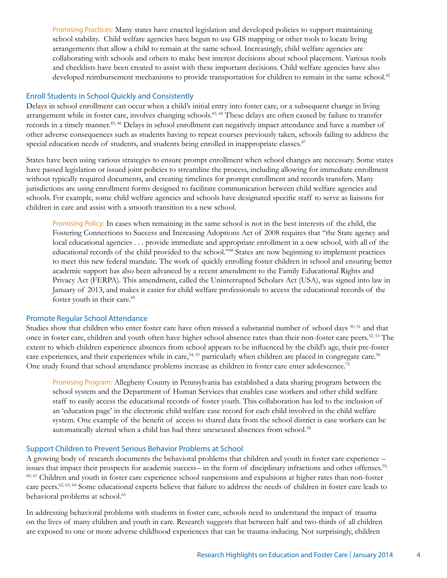Promising Practices: Many states have enacted legislation and developed policies to support maintaining school stability. Child welfare agencies have begun to use GIS mapping or other tools to locate living arrangements that allow a child to remain at the same school. Increasingly, child welfare agencies are collaborating with schools and others to make best interest decisions about school placement. Various tools and checklists have been created to assist with these important decisions. Child welfare agencies have also developed reimbursement mechanisms to provide transportation for children to remain in the same school.<sup>42</sup>

#### Enroll Students in School Quickly and Consistently

Delays in school enrollment can occur when a child's initial entry into foster care, or a subsequent change in living arrangement while in foster care, involves changing schools.<sup>43, 44</sup> These delays are often caused by failure to transfer records in a timely manner.45, 46 Delays in school enrollment can negatively impact attendance and have a number of other adverse consequences such as students having to repeat courses previously taken, schools failing to address the special education needs of students, and students being enrolled in inappropriate classes.<sup>47</sup>

States have been using various strategies to ensure prompt enrollment when school changes are necessary. Some states have passed legislation or issued joint policies to streamline the process, including allowing for immediate enrollment without typically required documents, and creating timelines for prompt enrollment and records transfers. Many jurisdictions are using enrollment forms designed to facilitate communication between child welfare agencies and schools. For example, some child welfare agencies and schools have designated specific staff to serve as liaisons for children in care and assist with a smooth transition to a new school.

Promising Policy: In cases when remaining in the same school is not in the best interests of the child, the Fostering Connections to Success and Increasing Adoptions Act of 2008 requires that "the State agency and local educational agencies . . . provide immediate and appropriate enrollment in a new school, with all of the educational records of the child provided to the school."48 States are now beginning to implement practices to meet this new federal mandate. The work of quickly enrolling foster children in school and ensuring better academic support has also been advanced by a recent amendment to the Family Educational Rights and Privacy Act (FERPA). This amendment, called the Uninterrupted Scholars Act (USA), was signed into law in January of 2013, and makes it easier for child welfare professionals to access the educational records of the foster youth in their care.<sup>49</sup>

#### Promote Regular School Attendance

Studies show that children who enter foster care have often missed a substantial number of school days <sup>50, 51</sup> and that once in foster care, children and youth often have higher school absence rates than their non-foster care peers.52, 53 The extent to which children experience absences from school appears to be influenced by the child's age, their pre-foster care experiences, and their experiences while in care,<sup>54, 55</sup> particularly when children are placed in congregate care.<sup>56</sup> One study found that school attendance problems increase as children in foster care enter adolescence.75

Promising Program: Allegheny County in Pennsylvania has established a data sharing program between the school system and the Department of Human Services that enables case workers and other child welfare staff to easily access the educational records of foster youth. This collaboration has led to the inclusion of an 'education page' in the electronic child welfare case record for each child involved in the child welfare system. One example of the benefit of access to shared data from the school district is case workers can be automatically alerted when a child has had three unexcused absences from school.<sup>58</sup>

#### Support Children to Prevent Serious Behavior Problems at School

A growing body of research documents the behavioral problems that children and youth in foster care experience – issues that impact their prospects for academic success– in the form of disciplinary infractions and other offenses.59, 60, 61 Children and youth in foster care experience school suspensions and expulsions at higher rates than non-foster care peers.62, 63, 64 Some educational experts believe that failure to address the needs of children in foster care leads to behavioral problems at school.<sup>65</sup>

In addressing behavioral problems with students in foster care, schools need to understand the impact of trauma on the lives of many children and youth in care. Research suggests that between half and two-thirds of all children are exposed to one or more adverse childhood experiences that can be trauma-inducing. Not surprisingly, children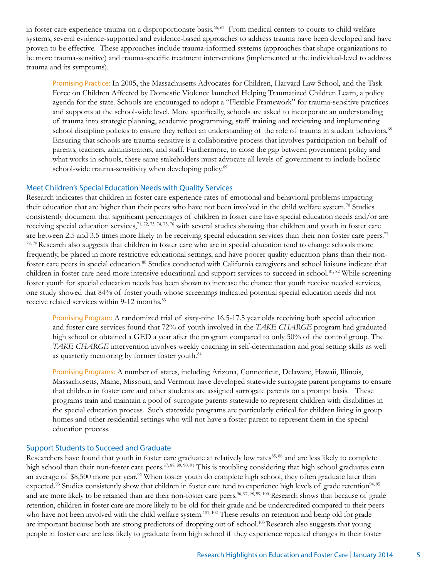in foster care experience trauma on a disproportionate basis.<sup>66, 67</sup> From medical centers to courts to child welfare systems, several evidence-supported and evidence-based approaches to address trauma have been developed and have proven to be effective. These approaches include trauma-informed systems (approaches that shape organizations to be more trauma-sensitive) and trauma-specific treatment interventions (implemented at the individual-level to address trauma and its symptoms).

Promising Practice: In 2005, the Massachusetts Advocates for Children, Harvard Law School, and the Task Force on Children Affected by Domestic Violence launched Helping Traumatized Children Learn, a policy agenda for the state. Schools are encouraged to adopt a "Flexible Framework" for trauma-sensitive practices and supports at the school-wide level. More specifically, schools are asked to incorporate an understanding of trauma into strategic planning, academic programming, staff training and reviewing and implementing school discipline policies to ensure they reflect an understanding of the role of trauma in student behaviors.<sup>68</sup> Ensuring that schools are trauma-sensitive is a collaborative process that involves participation on behalf of parents, teachers, administrators, and staff. Furthermore, to close the gap between government policy and what works in schools, these same stakeholders must advocate all levels of government to include holistic school-wide trauma-sensitivity when developing policy.<sup>69</sup>

#### Meet Children's Special Education Needs with Quality Services

Research indicates that children in foster care experience rates of emotional and behavioral problems impacting their education that are higher than their peers who have not been involved in the child welfare system.<sup>70</sup> Studies consistently document that significant percentages of children in foster care have special education needs and/or are receiving special education services,<sup>71, 72, 73, 74, 75, 76</sup> with several studies showing that children and youth in foster care are between 2.5 and 3.5 times more likely to be receiving special education services than their non foster care peers.<sup>77,</sup>  $78,79$  Research also suggests that children in foster care who are in special education tend to change schools more frequently, be placed in more restrictive educational settings, and have poorer quality education plans than their nonfoster care peers in special education.80 Studies conducted with California caregivers and school liaisons indicate that children in foster care need more intensive educational and support services to succeed in school.<sup>81, 82</sup> While screening foster youth for special education needs has been shown to increase the chance that youth receive needed services, one study showed that 84% of foster youth whose screenings indicated potential special education needs did not receive related services within 9-12 months.<sup>83</sup>

Promising Program: A randomized trial of sixty-nine 16.5-17.5 year olds receiving both special education and foster care services found that 72% of youth involved in the *TAKE CHARGE* program had graduated high school or obtained a GED a year after the program compared to only 50% of the control group. The *TAKE CHARGE* intervention involves weekly coaching in self-determination and goal setting skills as well as quarterly mentoring by former foster youth.<sup>84</sup>

Promising Programs: A number of states, including Arizona, Connecticut, Delaware, Hawaii, Illinois, Massachusetts, Maine, Missouri, and Vermont have developed statewide surrogate parent programs to ensure that children in foster care and other students are assigned surrogate parents on a prompt basis. These programs train and maintain a pool of surrogate parents statewide to represent children with disabilities in the special education process. Such statewide programs are particularly critical for children living in group homes and other residential settings who will not have a foster parent to represent them in the special education process.

#### Support Students to Succeed and Graduate

Researchers have found that youth in foster care graduate at relatively low rates<sup>85, 86</sup> and are less likely to complete high school than their non-foster care peers.<sup>87, 88, 89, 90, 91</sup> This is troubling considering that high school graduates earn an average of \$8,500 more per year.<sup>92</sup> When foster youth do complete high school, they often graduate later than expected.<sup>93</sup> Studies consistently show that children in foster care tend to experience high levels of grade retention<sup>94, 95</sup> and are more likely to be retained than are their non-foster care peers.<sup>96, 97, 98, 99, 100</sup> Research shows that because of grade retention, children in foster care are more likely to be old for their grade and be undercredited compared to their peers who have not been involved with the child welfare system.<sup>101, 102</sup> These results on retention and being old for grade are important because both are strong predictors of dropping out of school.103 Research also suggests that young people in foster care are less likely to graduate from high school if they experience repeated changes in their foster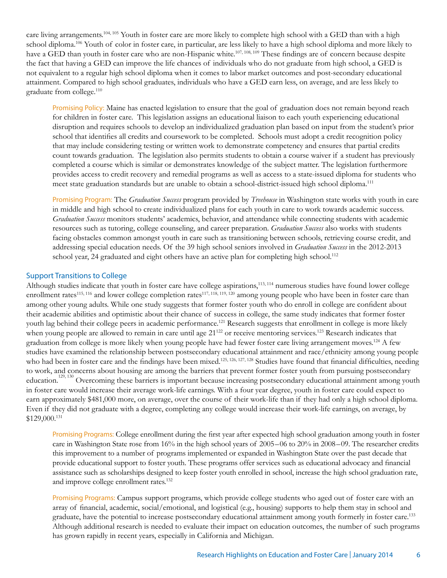care living arrangements.<sup>104, 105</sup> Youth in foster care are more likely to complete high school with a GED than with a high school diploma.<sup>106</sup> Youth of color in foster care, in particular, are less likely to have a high school diploma and more likely to have a GED than youth in foster care who are non-Hispanic white.<sup>107, 108, 109</sup> These findings are of concern because despite the fact that having a GED can improve the life chances of individuals who do not graduate from high school, a GED is not equivalent to a regular high school diploma when it comes to labor market outcomes and post-secondary educational attainment. Compared to high school graduates, individuals who have a GED earn less, on average, and are less likely to graduate from college.110

Promising Policy: Maine has enacted legislation to ensure that the goal of graduation does not remain beyond reach for children in foster care. This legislation assigns an educational liaison to each youth experiencing educational disruption and requires schools to develop an individualized graduation plan based on input from the student's prior school that identifies all credits and coursework to be completed. Schools must adopt a credit recognition policy that may include considering testing or written work to demonstrate competency and ensures that partial credits count towards graduation. The legislation also permits students to obtain a course waiver if a student has previously completed a course which is similar or demonstrates knowledge of the subject matter. The legislation furthermore provides access to credit recovery and remedial programs as well as access to a state-issued diploma for students who meet state graduation standards but are unable to obtain a school-district-issued high school diploma.111

Promising Program: The *Graduation Success* program provided by *Treehouse* in Washington state works with youth in care in middle and high school to create individualized plans for each youth in care to work towards academic success. *Graduation Success* monitors students' academics, behavior, and attendance while connecting students with academic resources such as tutoring, college counseling, and career preparation. *Graduation Success* also works with students facing obstacles common amongst youth in care such as transitioning between schools, retrieving course credit, and addressing special education needs. Of the 39 high school seniors involved in *Graduation Success* in the 2012-2013 school year, 24 graduated and eight others have an active plan for completing high school.<sup>112</sup>

#### Support Transitions to College

Although studies indicate that youth in foster care have college aspirations,<sup>113,114</sup> numerous studies have found lower college enrollment rates<sup>115, 116</sup> and lower college completion rates<sup>117, 118, 119, 120</sup> among young people who have been in foster care than among other young adults. While one study suggests that former foster youth who do enroll in college are confident about their academic abilities and optimistic about their chance of success in college, the same study indicates that former foster youth lag behind their college peers in academic performance.<sup>121</sup> Research suggests that enrollment in college is more likely when young people are allowed to remain in care until age  $21^{122}$  or receive mentoring services.<sup>123</sup> Research indicates that graduation from college is more likely when young people have had fewer foster care living arrangement moves.124 A few studies have examined the relationship between postsecondary educational attainment and race/ethnicity among young people who had been in foster care and the findings have been mixed.<sup>125, 126, 127, 128</sup> Studies have found that financial difficulties, needing to work, and concerns about housing are among the barriers that prevent former foster youth from pursuing postsecondary education.<sup>129, 130</sup> Overcoming these barriers is important because increasing postsecondary educational attainment among youth in foster care would increase their average work-life earnings. With a four year degree, youth in foster care could expect to earn approximately \$481,000 more, on average, over the course of their work-life than if they had only a high school diploma. Even if they did not graduate with a degree, completing any college would increase their work-life earnings, on average, by \$129,000.131

Promising Programs: College enrollment during the first year after expected high school graduation among youth in foster care in Washington State rose from 16% in the high school years of 2005–06 to 20% in 2008–09. The researcher credits this improvement to a number of programs implemented or expanded in Washington State over the past decade that provide educational support to foster youth. These programs offer services such as educational advocacy and financial assistance such as scholarships designed to keep foster youth enrolled in school, increase the high school graduation rate, and improve college enrollment rates.132

Promising Programs: Campus support programs, which provide college students who aged out of foster care with an array of financial, academic, social/emotional, and logistical (e.g., housing) supports to help them stay in school and graduate, have the potential to increase postsecondary educational attainment among youth formerly in foster care.133 Although additional research is needed to evaluate their impact on education outcomes, the number of such programs has grown rapidly in recent years, especially in California and Michigan.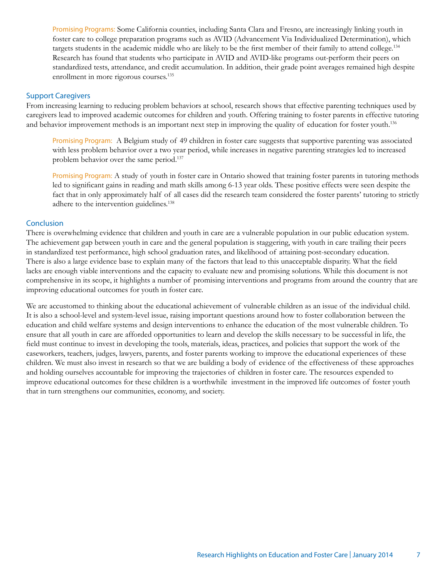Promising Programs: Some California counties, including Santa Clara and Fresno, are increasingly linking youth in foster care to college preparation programs such as AVID (Advancement Via Individualized Determination), which targets students in the academic middle who are likely to be the first member of their family to attend college.<sup>134</sup> Research has found that students who participate in AVID and AVID-like programs out-perform their peers on standardized tests, attendance, and credit accumulation. In addition, their grade point averages remained high despite enrollment in more rigorous courses.135

#### Support Caregivers

From increasing learning to reducing problem behaviors at school, research shows that effective parenting techniques used by caregivers lead to improved academic outcomes for children and youth. Offering training to foster parents in effective tutoring and behavior improvement methods is an important next step in improving the quality of education for foster youth.<sup>136</sup>

Promising Program: A Belgium study of 49 children in foster care suggests that supportive parenting was associated with less problem behavior over a two year period, while increases in negative parenting strategies led to increased problem behavior over the same period.137

Promising Program: A study of youth in foster care in Ontario showed that training foster parents in tutoring methods led to significant gains in reading and math skills among 6-13 year olds. These positive effects were seen despite the fact that in only approximately half of all cases did the research team considered the foster parents' tutoring to strictly adhere to the intervention guidelines.<sup>138</sup>

#### **Conclusion**

There is overwhelming evidence that children and youth in care are a vulnerable population in our public education system. The achievement gap between youth in care and the general population is staggering, with youth in care trailing their peers in standardized test performance, high school graduation rates, and likelihood of attaining post-secondary education. There is also a large evidence base to explain many of the factors that lead to this unacceptable disparity. What the field lacks are enough viable interventions and the capacity to evaluate new and promising solutions. While this document is not comprehensive in its scope, it highlights a number of promising interventions and programs from around the country that are improving educational outcomes for youth in foster care.

We are accustomed to thinking about the educational achievement of vulnerable children as an issue of the individual child. It is also a school-level and system-level issue, raising important questions around how to foster collaboration between the education and child welfare systems and design interventions to enhance the education of the most vulnerable children. To ensure that all youth in care are afforded opportunities to learn and develop the skills necessary to be successful in life, the field must continue to invest in developing the tools, materials, ideas, practices, and policies that support the work of the caseworkers, teachers, judges, lawyers, parents, and foster parents working to improve the educational experiences of these children. We must also invest in research so that we are building a body of evidence of the effectiveness of these approaches and holding ourselves accountable for improving the trajectories of children in foster care. The resources expended to improve educational outcomes for these children is a worthwhile investment in the improved life outcomes of foster youth that in turn strengthens our communities, economy, and society.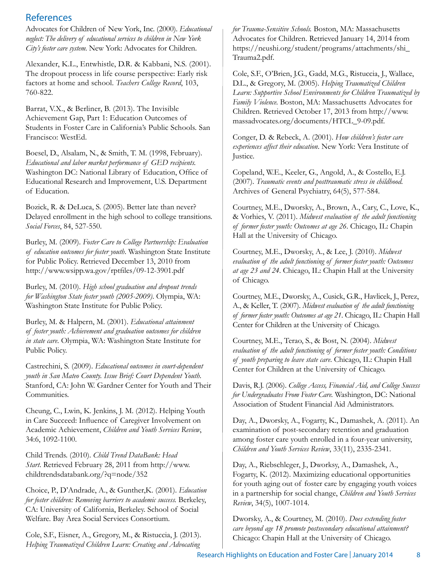# References

Advocates for Children of New York, Inc. (2000). *Educational neglect: The delivery of educational services to children in New York City's foster care system.* New York: Advocates for Children.

Alexander, K.L., Entwhistle, D.R. & Kabbani, N.S. (2001). The dropout process in life course perspective: Early risk factors at home and school. *Teachers College Record*, 103, 760-822.

Barrat, V.X., & Berliner, B. (2013). The Invisible Achievement Gap, Part 1: Education Outcomes of Students in Foster Care in California's Public Schools. San Francisco: WestEd.

Boesel, D., Alsalam, N., & Smith, T. M. (1998, February). *Educational and labor market performance of GED recipients.* Washington DC: National Library of Education, Office of Educational Research and Improvement, U.S. Department of Education.

Bozick, R. & DeLuca, S. (2005). Better late than never? Delayed enrollment in the high school to college transitions. *Social Forces*, 84, 527-550.

Burley, M. (2009). *Foster Care to College Partnership: Evaluation of education outcomes for foster youth*. Washington State Institute for Public Policy. Retrieved December 13, 2010 from http://www.wsipp.wa.gov/rptfiles/09-12-3901.pdf

Burley, M. (2010). *High school graduation and dropout trends for Washington State foster youth (2005-2009)*. Olympia, WA: Washington State Institute for Public Policy.

Burley, M. & Halpern, M. (2001). *Educational attainment of foster youth: Achievement and graduation outcomes for children in state care*. Olympia, WA: Washington State Institute for Public Policy.

Castrechini, S. (2009). *Educational outcomes in court-dependent youth in San Mateo County. Issue Brief: Court Dependent Youth*. Stanford, CA: John W. Gardner Center for Youth and Their Communities.

Cheung, C., Lwin, K. Jenkins, J. M. (2012). Helping Youth in Care Succeed: Influence of Caregiver Involvement on Academic Achievement, *Children and Youth Services Review*, 34:6, 1092-1100.

Child Trends. (2010). *Child Trend DataBank: Head Start*. Retrieved February 28, 2011 from http://www. childtrendsdatabank.org/?q=node/352

Choice, P., D'Andrade, A., & Gunther,K. (2001). *Education for foster children: Removing barriers to academic success.* Berkeley, CA: University of California, Berkeley. School of Social Welfare. Bay Area Social Services Consortium.

Cole, S.F., Eisner, A., Gregory, M., & Ristuccia, J. (2013). *Helping Traumatized Children Learn: Creating and Advocating* 

*for Trauma-Sensitive Schools.* Boston, MA: Massachusetts Advocates for Children. Retrieved January 14, 2014 from https://neushi.org/student/programs/attachments/shi\_ Trauma2.pdf.

Cole, S.F., O'Brien, J.G., Gadd, M.G., Ristuccia, J., Wallace, D.L., & Gregory, M. (2005). *Helping Traumatized Children Learn: Supportive School Environments for Children Traumatized by Family Violence.* Boston, MA: Massachusetts Advocates for Children. Retrieved October 17, 2013 from http://www. massadvocates.org/documents/HTCL\_9-09.pdf.

Conger, D. & Rebeck, A. (2001). *How children's foster care experiences affect their education*. New York: Vera Institute of Justice.

Copeland, W.E., Keeler, G., Angold, A., & Costello, E.J. (2007). *Traumatic events and posttraumatic stress in childhood.* Archives of General Psychiatry, 64(5), 577-584.

Courtney, M.E., Dworsky, A., Brown, A., Cary, C., Love, K., & Vorhies, V. (2011). *Midwest evaluation of the adult functioning of former foster youth: Outcomes at age 26*. Chicago, IL: Chapin Hall at the University of Chicago.

Courtney, M.E., Dworsky, A., & Lee, J. (2010). *Midwest evaluation of the adult functioning of former foster youth: Outcomes at age 23 and 24*. Chicago, IL: Chapin Hall at the University of Chicago.

Courtney, M.E., Dworsky, A., Cusick, G.R., Havlicek, J., Perez, A., & Keller, T. (2007). *Midwest evaluation of the adult functioning of former foster youth: Outcomes at age 21*. Chicago, IL: Chapin Hall Center for Children at the University of Chicago.

Courtney, M.E., Terao, S., & Bost, N. (2004). *Midwest evaluation of the adult functioning of former foster youth: Conditions of youth preparing to leave state care*. Chicago, IL: Chapin Hall Center for Children at the University of Chicago.

Davis, R.J. (2006). *College Access, Financial Aid, and College Success for Undergraduates From Foster Care.* Washington, DC: National Association of Student Financial Aid Administrators.

Day, A., Dworsky, A., Fogarty, K., Damashek, A. (2011). An examination of post-secondary retention and graduation among foster care youth enrolled in a four-year university, *Children and Youth Services Review*, 33(11), 2335-2341.

Day, A., Riebschleger, J., Dworksy, A., Damashek, A., Fogarty, K. (2012). Maximizing educational opportunities for youth aging out of foster care by engaging youth voices in a partnership for social change, *Children and Youth Services Review*, 34(5), 1007-1014.

Dworsky, A., & Courtney, M. (2010). *Does extending foster care beyond age 18 promote postsecondary educational attainment?* Chicago: Chapin Hall at the University of Chicago.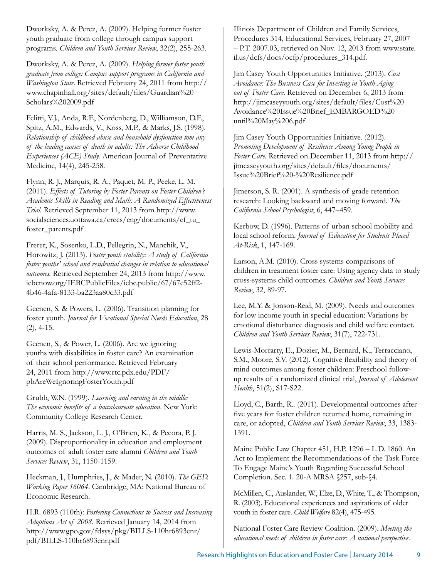Dworksky, A. & Perez, A. (2009). Helping former foster youth graduate from college through campus support programs. *Children and Youth Services Review*, 32(2), 255-263.

Dworksky, A. & Perez, A. (2009). *Helping former foster youth graduate from college: Campus support programs in California and Washington State*. Retrieved February 24, 2011 from http:// www.chapinhall.org/sites/default/files/Guardian%20 Scholars%202009.pdf

Felitti, V.J., Anda, R.F., Nordenberg, D., Williamson, D.F., Spitz, A.M., Edwards, V., Koss, M.P., & Marks, J.S. (1998). *Relationship of childhood abuse and household dysfunction tom any of the leading causes of death in adults: The Adverse Childhood Experiences (ACE) Study.* American Journal of Preventative Medicine, 14(4), 245-258.

Flynn, R. J., Marquis, R. A., Paquet, M. P., Peeke, L. M. (2011). *Effects of Tutoring by Foster Parents on Foster Children's Academic Skills in Reading and Math: A Randomized Effectiveness Trial.* Retrieved September 11, 2013 from http://www. socialsciences.uottawa.ca/crecs/eng/documents/ef\_tu\_ foster\_parents.pdf

Frerer, K., Sosenko, L.D., Pellegrin, N., Manchik, V., Horowitz, J. (2013). *Foster youth stability: A study of California foster youths' school and residential changes in relation to educational outcomes.* Retrieved September 24, 2013 from http://www. iebcnow.org/IEBCPublicFiles/iebc.public/67/67e52ff2- 4b46-4afa-8133-ba223aa80c33.pdf

Geenen, S. & Powers, L. (2006). Transition planning for foster youth. *Journal for Vocational Special Needs Education*, 28 (2), 4-15.

Geenen, S., & Power, L. (2006). Are we ignoring youths with disabilities in foster care? An examination of their school performance. Retrieved February 24, 2011 from http://www.rtc.pdx.edu/PDF/ pbAreWeIgnoringFosterYouth.pdf

Grubb, W.N. (1999). *Learning and earning in the middle: The economic benefits of a baccalaureate education*. New York: Community College Research Center.

Harris, M. S., Jackson, L. J., O'Brien, K., & Pecora, P. J. (2009). Disproportionality in education and employment outcomes of adult foster care alumni *Children and Youth Services Review*, 31, 1150-1159.

Heckman, J., Humphries, J., & Mader, N. (2010). *The GED. Working Paper 16064*. Cambridge, MA: National Bureau of Economic Research.

H.R. 6893 (110th): *Fostering Connections to Success and Increasing Adoptions Act of 2008*. Retrieved January 14, 2014 from http://www.gpo.gov/fdsys/pkg/BILLS-110hr6893enr/ pdf/BILLS-110hr6893enr.pdf

Illinois Department of Children and Family Services, Procedures 314, Educational Services, February 27, 2007 – P.T. 2007.03, retrieved on Nov. 12, 2013 from www.state. il.us/dcfs/docs/ocfp/procedures\_314.pdf.

Jim Casey Youth Opportunities Initiative. (2013). *Cost Avoidance: The Business Case for Investing in Youth Aging out of Foster Care.* Retrieved on December 6, 2013 from http://jimcaseyyouth.org/sites/default/files/Cost%20 Avoidance%20Issue%20Brief\_EMBARGOED%20 until%20May%206.pdf

Jim Casey Youth Opportunities Initiative. (2012). *Promoting Development of Resilience Among Young People in Foster Care.* Retrieved on December 11, 2013 from http:// jimcaseyyouth.org/sites/default/files/documents/ Issue%20Brief%20-%20Resilience.pdf

Jimerson, S. R. (2001). A synthesis of grade retention research: Looking backward and moving forward. *The California School Psychologist*, 6, 447–459.

Kerbow, D. (1996). Patterns of urban school mobility and local school reform. *Journal of Education for Students Placed At-Risk*, 1, 147-169.

Larson, A.M. (2010). Cross systems comparisons of children in treatment foster care: Using agency data to study cross-systems child outcomes. *Children and Youth Services Review*, 32, 89-97.

Lee, M.Y. & Jonson-Reid, M. (2009). Needs and outcomes for low income youth in special education: Variations by emotional disturbance diagnosis and child welfare contact. *Children and Youth Services Review*, 31(7), 722-731.

Lewis-Morrarty, E., Dozier, M., Bernard, K., Terracciano, S.M., Moore, S.V. (2012). Cognitive flexibility and theory of mind outcomes among foster children: Preschool followup results of a randomized clinical trial, *Journal of Adolescent Health*, 51(2), S17-S22.

Lloyd, C., Barth, R.. (2011). Developmental outcomes after five years for foster children returned home, remaining in care, or adopted, *Children and Youth Services Review*, 33, 1383- 1391.

Maine Public Law Chapter 451, H.P. 1296 – L.D. 1860. An Act to Implement the Recommendations of the Task Force To Engage Maine's Youth Regarding Successful School Completion. Sec. 1. 20-A MRSA §257, sub-§4.

McMillen, C., Auslander, W., Elze, D., White, T., & Thompson, R. (2003). Educational experiences and aspirations of older youth in foster care. *Child Welfare* 82(4), 475-495.

National Foster Care Review Coalition. (2009). *Meeting the educational needs of children in foster care: A national perspective*.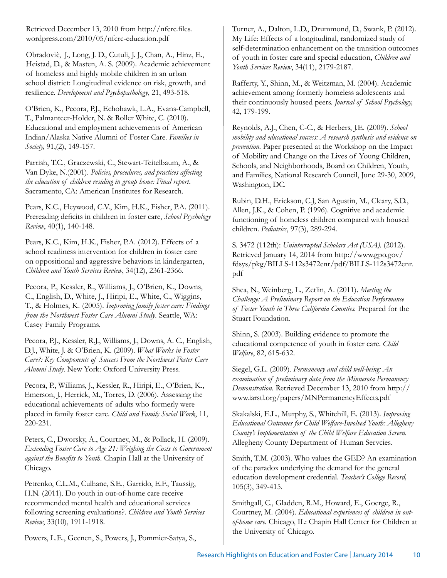Retrieved December 13, 2010 from http://nfcrc.files. wordpress.com/2010/05/nfcrc-education.pdf

Obradović, J., Long, J. D., Cutuli, J. J., Chan, A., Hinz, E., Heistad, D., & Masten, A. S. (2009). Academic achievement of homeless and highly mobile children in an urban school district: Longitudinal evidence on risk, growth, and resilience. *Development and Psychopathology*, 21, 493-518.

O'Brien, K., Pecora, P.J., Echohawk, L.A., Evans-Campbell, T., Palmanteer-Holder, N. & Roller White, C. (2010). Educational and employment achievements of American Indian/Alaska Native Alumni of Foster Care. *Families in Society,* 91,(2), 149-157.

Parrish, T.C., Graczewski, C., Stewart-Teitelbaum, A., & Van Dyke, N.(2001). *Policies, procedures, and practices affecting the education of children residing in group home: Final report*. Sacramento, CA: American Institutes for Research.

Pears, K.C., Heywood, C.V., Kim, H.K., Fisher, P.A. (2011). Prereading deficits in children in foster care, *School Psychology Review*, 40(1), 140-148.

Pears, K.C., Kim, H.K., Fisher, P.A. (2012). Effects of a school readiness intervention for children in foster care on oppositional and aggressive behaviors in kindergarten, *Children and Youth Services Review*, 34(12), 2361-2366.

Pecora, P., Kessler, R., Williams, J., O'Brien, K., Downs, C., English, D., White, J., Hiripi, E., White, C., Wiggins, T., & Holmes, K. (2005). *Improving family foster care: Findings from the Northwest Foster Care Alumni Study*. Seattle, WA: Casey Family Programs.

Pecora, P.J., Kessler, R.J., Williams, J., Downs, A. C., English, D.J., White, J. & O'Brien, K. (2009). *What Works in Foster Care?: Key Components of Success From the Northwest Foster Care Alumni Study*. New York: Oxford University Press.

Pecora, P., Williams, J., Kessler, R., Hiripi, E., O'Brien, K., Emerson, J., Herrick, M., Torres, D. (2006). Assessing the educational achievements of adults who formerly were placed in family foster care. *Child and Family Social Work*, 11, 220-231.

Peters, C., Dworsky, A., Courtney, M., & Pollack, H. (2009). *Extending Foster Care to Age 21: Weighing the Costs to Government against the Benefits to Youth*. Chapin Hall at the University of Chicago.

Petrenko, C.L.M., Culhane, S.E., Garrido, E.F., Taussig, H.N. (2011). Do youth in out-of-home care receive recommended mental health and educational services following screening evaluations?. *Children and Youth Services Review*, 33(10), 1911-1918.

Powers, L.E., Geenen, S., Powers, J., Pommier-Satya, S.,

Turner, A., Dalton, L.D., Drummond, D., Swank, P. (2012). My Life: Effects of a longitudinal, randomized study of self-determination enhancement on the transition outcomes of youth in foster care and special education, *Children and Youth Services Review*, 34(11), 2179-2187.

Rafferty, Y., Shinn, M., & Weitzman, M. (2004). Academic achievement among formerly homeless adolescents and their continuously housed peers. *Journal of School Psychology,* 42, 179-199.

Reynolds, A.J., Chen, C-C., & Herbers, J.E. (2009). *School mobility and educational success: A research synthesis and evidence on prevention*. Paper presented at the Workshop on the Impact of Mobility and Change on the Lives of Young Children, Schools, and Neighborhoods, Board on Children, Youth, and Families, National Research Council, June 29-30, 2009, Washington, DC.

Rubin, D.H., Erickson, C.J, San Agustin, M., Cleary, S.D., Allen, J.K., & Cohen, P. (1996). Cognitive and academic functioning of homeless children compared with housed children. *Pediatrics*, 97(3), 289-294.

S. 3472 (112th): *Uninterrupted Scholars Act (USA).* (2012). Retrieved January 14, 2014 from http://www.gpo.gov/ fdsys/pkg/BILLS-112s3472enr/pdf/BILLS-112s3472enr. pdf

Shea, N., Weinberg, L., Zetlin, A. (2011). *Meeting the Challenge: A Preliminary Report on the Education Performance of Foster Youth in Three California Counties.* Prepared for the Stuart Foundation.

Shinn, S. (2003). Building evidence to promote the educational competence of youth in foster care. *Child Welfare*, 82, 615-632.

Siegel, G.L. (2009). *Permanency and child well-being: An examination of preliminary data from the Minnesota Permanency Demonstration*. Retrieved December 13, 2010 from http:// www.iarstl.org/papers/MNPermanencyEffects.pdf

Skakalski, E.L., Murphy, S., Whitehill, E. (2013). *Improving Educational Outcomes for Child Welfare-Involved Youth: Allegheny County's Implementation of the Child Welfare Education Screen*. Allegheny County Department of Human Servcies.

Smith, T.M. (2003). Who values the GED? An examination of the paradox underlying the demand for the general education development credential. *Teacher's College Record,* 105(3), 349-415.

Smithgall, C., Gladden, R.M., Howard, E., Goerge, R., Courtney, M. (2004). *Educational experiences of children in outof-home care*. Chicago, IL: Chapin Hall Center for Children at the University of Chicago.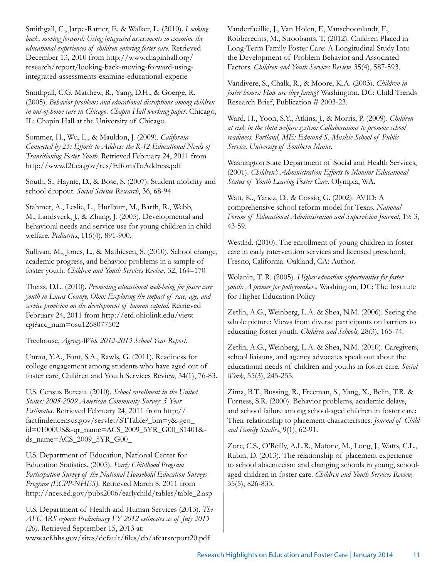Smithgall, C., Jarpe-Ratner, E. & Walker, L. (2010). *Looking back, moving forward: Using integrated assessments to examine the educational experiences of children entering foster care*. Retrieved December 13, 2010 from http://www.chapinhall.org/ research/report/looking-back-moving-forward-usingintegrated-assessments-examine-educational-experie

Smithgall, C.G. Matthew, R., Yang, D.H., & Goerge, R. (2005). *Behavior problems and educational disruptions among children in out-of-home care in Chicago*. *Chapin Hall working paper*. Chicago, IL: Chapin Hall at the University of Chicago.

Sommer, H., Wu, L., & Mauldon, J. (2009). *California Connected by 25: Efforts to Address the K-12 Educational Needs of Transitioning Foster Youth*. Retrieved February 24, 2011 from http://www.f2f.ca.gov/res/EffortsToAddress.pdf

South, S., Haynie, D., & Bose, S. (2007). Student mobility and school dropout. *Social Science Research*, 36, 68-94.

Stahmer, A., Leslie, L., Hurlburt, M., Barth, R., Webb, M., Landsverk, J., & Zhang, J. (2005). Developmental and behavioral needs and service use for young children in child welfare. *Pediatrics*, 116(4), 891-900.

Sullivan, M., Jones, L., & Mathiesen, S. (2010). School change, academic progress, and behavior problems in a sample of foster youth. *Children and Youth Services Review*, 32, 164–170

Theiss, D.L. (2010). *Promoting educational well-being for foster care youth in Lucas County, Ohio: Exploring the impact of race, age, and service provision on the development of human capital.* Retrieved February 24, 2011 from http://etd.ohiolink.edu/view. cgi?acc\_num=osu1268077502

Treehouse, *Agency-Wide 2012-2013 School Year Report*.

Unrau, Y.A., Font, S.A., Rawls, G. (2011). Readiness for college engagement among students who have aged out of foster care, Children and Youth Services Review, 34(1), 76-83.

U.S. Census Bureau. (2010). *School enrollment in the United States: 2005-2009 American Community Survey: 5 Year Estimates*. Retrieved February 24, 2011 from http:// factfinder.census.gov/servlet/STTable?\_bm=y&-geo\_ id=01000US&-qr\_name=ACS\_2009\_5YR\_G00\_S1401& ds\_name=ACS\_2009\_5YR\_G00\_

U.S. Department of Education, National Center for Education Statistics. (2005). *Early Childhood Program Participation Survey of the National Household Education Surveys Program (ECPP-NHES)*. Retrieved March 8, 2011 from http://nces.ed.gov/pubs2006/earlychild/tables/table\_2.asp

U.S. Department of Health and Human Services (2013). *The AFCARS report: Preliminary FY 2012 estimates as of July 2013 (20)*. Retrieved September 15, 2013 at: www.acf.hhs.gov/sites/default/files/cb/afcarsreport20.pdf

Vanderfaeillie, J., Van Holen, F., Vanschoonlandt, F., Robberechts, M., Stroobants, T. (2012). Children Placed in Long-Term Family Foster Care: A Longitudinal Study Into the Development of Problem Behavior and Associated Factors. *Children and Youth Services Review,* 35(4), 587-593.

Vandivere, S., Chalk, R., & Moore, K.A. (2003). *Children in foster homes: How are they faring?* Washington, DC: Child Trends Research Brief, Publication # 2003-23.

Ward, H., Yoon, S.Y., Atkins, J., & Morris, P. (2009). *Children at risk in the child welfare system: Collaborations to promote school readiness. Portland, ME: Edmund S. Muskie School of Public Service, University of Southern Maine.* 

Washington State Department of Social and Health Services, (2001). *Children's Administration Efforts to Monitor Educational Status of Youth Leaving Foster Care*. Olympia, WA.

Watt, K., Yanez, D., & Cossio, G. (2002). AVID: A comprehensive school reform model for Texas. *National Forum of Educational Administration and Supervision Journal*, 19: 3, 43-59.

WestEd. (2010). The enrollment of young children in foster care in early intervention services and licensed preschool, Fresno, California. Oakland, CA: Author.

Wolanin, T. R. (2005). *Higher education opportunities for foster youth: A primer for policymakers*. Washington, DC: The Institute for Higher Education Policy

Zetlin, A.G., Weinberg, L.A. & Shea, N.M. (2006). Seeing the whole picture: Views from diverse participants on barriers to educating foster youth. *Children and Schools,* 28(3), 165-74.

Zetlin, A.G., Weinberg, L.A. & Shea, N.M. (2010). Caregivers, school liaisons, and agency advocates speak out about the educational needs of children and youths in foster care. *Social Work*, 55(3), 245-255.

Zima, B.T., Bussing, R., Freeman, S., Yang, X., Belin, T.R. & Forness, S.R. (2000). Behavior problems, academic delays, and school failure among school-aged children in foster care: Their relationship to placement characteristics. *Journal of Child and Family Studies*, 9(1), 62-91.

Zorc, C.S., O'Reilly, A.L.R., Matone, M., Long, J., Watts, C.L., Rubin, D. (2013). The relationship of placement experience to school absenteeism and changing schools in young, schoolaged children in foster care. *Children and Youth Services Review,*  35(5), 826-833.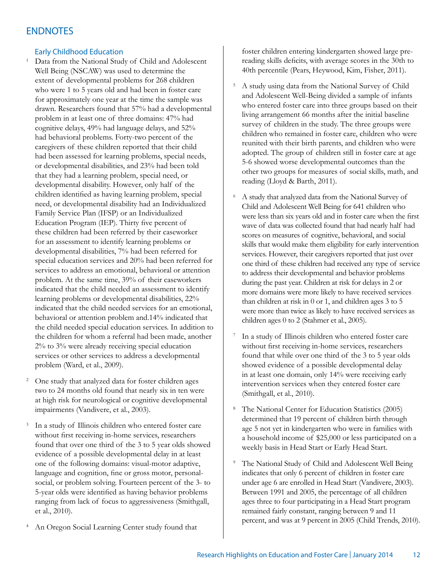# **ENDNOTES**

#### Early Childhood Education

<sup>1</sup> Data from the National Study of Child and Adolescent Well Being (NSCAW) was used to determine the extent of developmental problems for 268 children who were 1 to 5 years old and had been in foster care for approximately one year at the time the sample was drawn. Researchers found that 57% had a developmental problem in at least one of three domains: 47% had cognitive delays, 49% had language delays, and 52% had behavioral problems. Forty-two percent of the caregivers of these children reported that their child had been assessed for learning problems, special needs, or developmental disabilities, and 23% had been told that they had a learning problem, special need, or developmental disability. However, only half of the children identified as having learning problem, special need, or developmental disability had an Individualized Family Service Plan (IFSP) or an Individualized Education Program (IEP). Thirty five percent of these children had been referred by their caseworker for an assessment to identify learning problems or developmental disabilities, 7% had been referred for special education services and 20% had been referred for services to address an emotional, behavioral or attention problem. At the same time, 39% of their caseworkers indicated that the child needed an assessment to identify learning problems or developmental disabilities, 22% indicated that the child needed services for an emotional, behavioral or attention problem and.14% indicated that the child needed special education services. In addition to the children for whom a referral had been made, another 2% to 3% were already receiving special education services or other services to address a developmental problem (Ward, et al., 2009).

- <sup>2</sup> One study that analyzed data for foster children ages two to 24 months old found that nearly six in ten were at high risk for neurological or cognitive developmental impairments (Vandivere, et al., 2003).
- <sup>3</sup> In a study of Illinois children who entered foster care without first receiving in-home services, researchers found that over one third of the 3 to 5 year olds showed evidence of a possible developmental delay in at least one of the following domains: visual-motor adaptive, language and cognition, fine or gross motor, personalsocial, or problem solving. Fourteen percent of the 3- to 5-year olds were identified as having behavior problems ranging from lack of focus to aggressiveness (Smithgall, et al., 2010).
- <sup>4</sup> An Oregon Social Learning Center study found that

foster children entering kindergarten showed large prereading skills deficits, with average scores in the 30th to 40th percentile (Pears, Heywood, Kim, Fisher, 2011).

- <sup>5</sup> A study using data from the National Survey of Child and Adolescent Well-Being divided a sample of infants who entered foster care into three groups based on their living arrangement 66 months after the initial baseline survey of children in the study. The three groups were children who remained in foster care, children who were reunited with their birth parents, and children who were adopted. The group of children still in foster care at age 5-6 showed worse developmental outcomes than the other two groups for measures of social skills, math, and reading (Lloyd & Barth, 2011).
- <sup>6</sup> A study that analyzed data from the National Survey of Child and Adolescent Well Being for 641 children who were less than six years old and in foster care when the first wave of data was collected found that had nearly half had scores on measures of cognitive, behavioral, and social skills that would make them eligibility for early intervention services. However, their caregivers reported that just over one third of these children had received any type of service to address their developmental and behavior problems during the past year. Children at risk for delays in 2 or more domains were more likely to have received services than children at risk in 0 or 1, and children ages 3 to 5 were more than twice as likely to have received services as children ages 0 to 2 (Stahmer et al., 2005).
- In a study of Illinois children who entered foster care without first receiving in-home services, researchers found that while over one third of the 3 to 5 year olds showed evidence of a possible developmental delay in at least one domain, only 14% were receiving early intervention services when they entered foster care (Smithgall, et al., 2010).
- <sup>8</sup> The National Center for Education Statistics (2005) determined that 19 percent of children birth through age 5 not yet in kindergarten who were in families with a household income of \$25,000 or less participated on a weekly basis in Head Start or Early Head Start.
- <sup>9</sup> The National Study of Child and Adolescent Well Being indicates that only 6 percent of children in foster care under age 6 are enrolled in Head Start (Vandivere, 2003). Between 1991 and 2005, the percentage of all children ages three to four participating in a Head Start program remained fairly constant, ranging between 9 and 11 percent, and was at 9 percent in 2005 (Child Trends, 2010).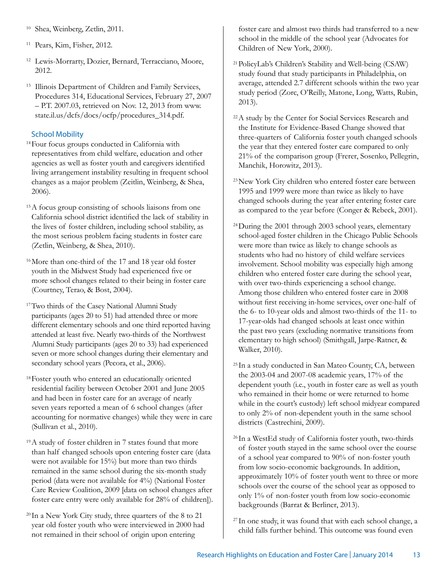- <sup>10</sup> Shea, Weinberg, Zetlin, 2011.
- <sup>11</sup> Pears, Kim, Fisher, 2012.
- <sup>12</sup> Lewis-Morrarty, Dozier, Bernard, Terracciano, Moore, 2012.
- <sup>13</sup> Illinois Department of Children and Family Services, Procedures 314, Educational Services, February 27, 2007 – P.T. 2007.03, retrieved on Nov. 12, 2013 from www. state.il.us/dcfs/docs/ocfp/procedures\_314.pdf.

### School Mobility

- <sup>14</sup>Four focus groups conducted in California with representatives from child welfare, education and other agencies as well as foster youth and caregivers identified living arrangement instability resulting in frequent school changes as a major problem (Zeitlin, Weinberg, & Shea, 2006).
- 15A focus group consisting of schools liaisons from one California school district identified the lack of stability in the lives of foster children, including school stability, as the most serious problem facing students in foster care (Zetlin, Weinberg, & Shea, 2010).
- 16More than one-third of the 17 and 18 year old foster youth in the Midwest Study had experienced five or more school changes related to their being in foster care (Courtney, Terao, & Bost, 2004).
- <sup>17</sup>Two thirds of the Casey National Alumni Study participants (ages 20 to 51) had attended three or more different elementary schools and one third reported having attended at least five. Nearly two-thirds of the Northwest Alumni Study participants (ages 20 to 33) had experienced seven or more school changes during their elementary and secondary school years (Pecora, et al., 2006).
- 18Foster youth who entered an educationally oriented residential facility between October 2001 and June 2005 and had been in foster care for an average of nearly seven years reported a mean of 6 school changes (after accounting for normative changes) while they were in care (Sullivan et al., 2010).
- 19A study of foster children in 7 states found that more than half changed schools upon entering foster care (data were not available for 15%) but more than two thirds remained in the same school during the six-month study period (data were not available for 4%) (National Foster Care Review Coalition, 2009 [data on school changes after foster care entry were only available for 28% of children]).
- <sup>20</sup> In a New York City study, three quarters of the 8 to 21 year old foster youth who were interviewed in 2000 had not remained in their school of origin upon entering

foster care and almost two thirds had transferred to a new school in the middle of the school year (Advocates for Children of New York, 2000).

- <sup>21</sup>PolicyLab's Children's Stability and Well-being (CSAW) study found that study participants in Philadelphia, on average, attended 2.7 different schools within the two year study period (Zorc, O'Reilly, Matone, Long, Watts, Rubin, 2013).
- <sup>22</sup>A study by the Center for Social Services Research and the Institute for Evidence-Based Change showed that three-quarters of California foster youth changed schools the year that they entered foster care compared to only 21% of the comparison group (Frerer, Sosenko, Pellegrin, Manchik, Horowitz, 2013).
- <sup>23</sup>New York City children who entered foster care between 1995 and 1999 were more than twice as likely to have changed schools during the year after entering foster care as compared to the year before (Conger & Rebeck, 2001).
- <sup>24</sup>During the 2001 through 2003 school years, elementary school-aged foster children in the Chicago Public Schools were more than twice as likely to change schools as students who had no history of child welfare services involvement. School mobility was especially high among children who entered foster care during the school year, with over two-thirds experiencing a school change. Among those children who entered foster care in 2008 without first receiving in-home services, over one-half of the 6- to 10-year olds and almost two-thirds of the 11- to 17-year-olds had changed schools at least once within the past two years (excluding normative transitions from elementary to high school) (Smithgall, Jarpe-Ratner, & Walker, 2010).
- <sup>25</sup> In a study conducted in San Mateo County, CA, between the 2003-04 and 2007-08 academic years, 17% of the dependent youth (i.e., youth in foster care as well as youth who remained in their home or were returned to home while in the court's custody) left school midyear compared to only 2% of non-dependent youth in the same school districts (Castrechini, 2009).
- <sup>26</sup> In a WestEd study of California foster youth, two-thirds of foster youth stayed in the same school over the course of a school year compared to 90% of non-foster youth from low socio-economic backgrounds. In addition, approximately 10% of foster youth went to three or more schools over the course of the school year as opposed to only 1% of non-foster youth from low socio-economic backgrounds (Barrat & Berliner, 2013).
- <sup>27</sup> In one study, it was found that with each school change, a child falls further behind. This outcome was found even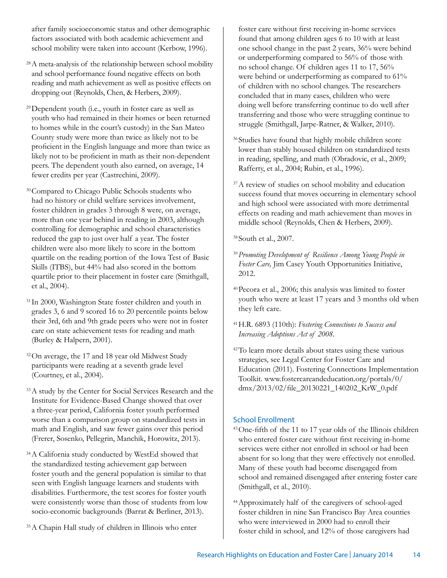after family socioeconomic status and other demographic factors associated with both academic achievement and school mobility were taken into account (Kerbow, 1996).

- <sup>28</sup> A meta-analysis of the relationship between school mobility and school performance found negative effects on both reading and math achievement as well as positive effects on dropping out (Reynolds, Chen, & Herbers, 2009).
- <sup>29</sup>Dependent youth (i.e., youth in foster care as well as youth who had remained in their homes or been returned to homes while in the court's custody) in the San Mateo County study were more than twice as likely not to be proficient in the English language and more than twice as likely not to be proficient in math as their non-dependent peers. The dependent youth also earned, on average, 14 fewer credits per year (Castrechini, 2009).

<sup>30</sup>Compared to Chicago Public Schools students who had no history or child welfare services involvement, foster children in grades 3 through 8 were, on average, more than one year behind in reading in 2003, although controlling for demographic and school characteristics reduced the gap to just over half a year. The foster children were also more likely to score in the bottom quartile on the reading portion of the Iowa Test of Basic Skills (ITBS), but 44% had also scored in the bottom quartile prior to their placement in foster care (Smithgall, et al., 2004).

- <sup>31</sup> In 2000, Washington State foster children and youth in grades 3, 6 and 9 scored 16 to 20 percentile points below their 3rd, 6th and 9th grade peers who were not in foster care on state achievement tests for reading and math (Burley & Halpern, 2001).
- 32On average, the 17 and 18 year old Midwest Study participants were reading at a seventh grade level (Courtney, et al., 2004).
- <sup>33</sup>A study by the Center for Social Services Research and the Institute for Evidence-Based Change showed that over a three-year period, California foster youth performed worse than a comparison group on standardized tests in math and English, and saw fewer gains over this period (Frerer, Sosenko, Pellegrin, Manchik, Horowitz, 2013).
- <sup>34</sup>A California study conducted by WestEd showed that the standardized testing achievement gap between foster youth and the general population is similar to that seen with English language learners and students with disabilities. Furthermore, the test scores for foster youth were consistently worse than those of students from low socio-economic backgrounds (Barrat & Berliner, 2013).
- <sup>35</sup>A Chapin Hall study of children in Illinois who enter

foster care without first receiving in-home services found that among children ages 6 to 10 with at least one school change in the past 2 years, 36% were behind or underperforming compared to 56% of those with no school change. Of children ages 11 to 17, 56% were behind or underperforming as compared to 61% of children with no school changes. The researchers concluded that in many cases, children who were doing well before transferring continue to do well after transferring and those who were struggling continue to struggle (Smithgall, Jarpe-Ratner, & Walker, 2010).

- 36Studies have found that highly mobile children score lower than stably housed children on standardized tests in reading, spelling, and math (Obradovic, et al., 2009; Rafferty, et al., 2004; Rubin, et al., 1996).
- <sup>37</sup>A review of studies on school mobility and education success found that moves occurring in elementary school and high school were associated with more detrimental effects on reading and math achievement than moves in middle school (Reynolds, Chen & Herbers, 2009).

38South et al., 2007.

- <sup>39</sup>*Promoting Development of Resilience Among Young People in Foster Care,* Jim Casey Youth Opportunities Initiative, 2012.
- 40Pecora et al., 2006; this analysis was limited to foster youth who were at least 17 years and 3 months old when they left care.
- 41H.R. 6893 (110th): *Fostering Connections to Success and Increasing Adoptions Act of 2008*.
- 42To learn more details about states using these various strategies, see Legal Center for Foster Care and Education (2011). Fostering Connections Implementation Toolkit. www.fostercareandeducation.org/portals/0/ dmx/2013/02/file\_20130221\_140202\_KrW\_0.pdf

## School Enrollment

- <sup>43</sup>One-fifth of the 11 to 17 year olds of the Illinois children who entered foster care without first receiving in-home services were either not enrolled in school or had been absent for so long that they were effectively not enrolled. Many of these youth had become disengaged from school and remained disengaged after entering foster care (Smithgall, et al., 2010).
- 44Approximately half of the caregivers of school-aged foster children in nine San Francisco Bay Area counties who were interviewed in 2000 had to enroll their foster child in school, and 12% of those caregivers had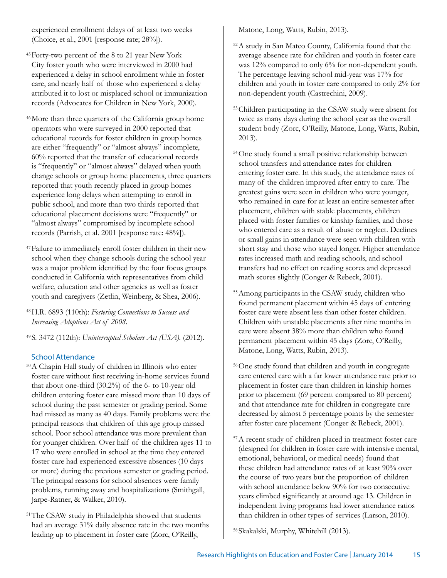experienced enrollment delays of at least two weeks (Choice, et al., 2001 [response rate; 28%]).

- 45Forty-two percent of the 8 to 21 year New York City foster youth who were interviewed in 2000 had experienced a delay in school enrollment while in foster care, and nearly half of those who experienced a delay attributed it to lost or misplaced school or immunization records (Advocates for Children in New York, 2000).
- <sup>46</sup>More than three quarters of the California group home operators who were surveyed in 2000 reported that educational records for foster children in group homes are either "frequently" or "almost always" incomplete, 60% reported that the transfer of educational records is "frequently" or "almost always" delayed when youth change schools or group home placements, three quarters reported that youth recently placed in group homes experience long delays when attempting to enroll in public school, and more than two thirds reported that educational placement decisions were "frequently" or "almost always" compromised by incomplete school records (Parrish, et al. 2001 [response rate: 48%]).
- 47Failure to immediately enroll foster children in their new school when they change schools during the school year was a major problem identified by the four focus groups conducted in California with representatives from child welfare, education and other agencies as well as foster youth and caregivers (Zetlin, Weinberg, & Shea, 2006).

48H.R. 6893 (110th): *Fostering Connections to Success and Increasing Adoptions Act of 2008*.

49S. 3472 (112th): *Uninterrupted Scholars Act (USA).* (2012).

## School Attendance

- <sup>50</sup>A Chapin Hall study of children in Illinois who enter foster care without first receiving in-home services found that about one-third (30.2%) of the 6- to 10-year old children entering foster care missed more than 10 days of school during the past semester or grading period. Some had missed as many as 40 days. Family problems were the principal reasons that children of this age group missed school. Poor school attendance was more prevalent than for younger children. Over half of the children ages 11 to 17 who were enrolled in school at the time they entered foster care had experienced excessive absences (10 days or more) during the previous semester or grading period. The principal reasons for school absences were family problems, running away and hospitalizations (Smithgall, Jarpe-Ratner, & Walker, 2010).
- <sup>51</sup>The CSAW study in Philadelphia showed that students had an average 31% daily absence rate in the two months leading up to placement in foster care (Zorc, O'Reilly,

Matone, Long, Watts, Rubin, 2013).

- <sup>52</sup>A study in San Mateo County, California found that the average absence rate for children and youth in foster care was 12% compared to only 6% for non-dependent youth. The percentage leaving school mid-year was 17% for children and youth in foster care compared to only 2% for non-dependent youth (Castrechini, 2009).
- <sup>53</sup>Children participating in the CSAW study were absent for twice as many days during the school year as the overall student body (Zorc, O'Reilly, Matone, Long, Watts, Rubin, 2013).
- 54One study found a small positive relationship between school transfers and attendance rates for children entering foster care. In this study, the attendance rates of many of the children improved after entry to care. The greatest gains were seen in children who were younger, who remained in care for at least an entire semester after placement, children with stable placements, children placed with foster families or kinship families, and those who entered care as a result of abuse or neglect. Declines or small gains in attendance were seen with children with short stay and those who stayed longer. Higher attendance rates increased math and reading schools, and school transfers had no effect on reading scores and depressed math scores slightly (Conger & Rebeck, 2001).
- <sup>55</sup>Among participants in the CSAW study, children who found permanent placement within 45 days of entering foster care were absent less than other foster children. Children with unstable placements after nine months in care were absent 38% more than children who found permanent placement within 45 days (Zorc, O'Reilly, Matone, Long, Watts, Rubin, 2013).
- 56One study found that children and youth in congregate care entered care with a far lower attendance rate prior to placement in foster care than children in kinship homes prior to placement (69 percent compared to 80 percent) and that attendance rate for children in congregate care decreased by almost 5 percentage points by the semester after foster care placement (Conger & Rebeck, 2001).
- 57A recent study of children placed in treatment foster care (designed for children in foster care with intensive mental, emotional, behavioral, or medical needs) found that these children had attendance rates of at least 90% over the course of two years but the proportion of children with school attendance below 90% for two consecutive years climbed significantly at around age 13. Children in independent living programs had lower attendance ratios than children in other types of services (Larson, 2010).

58Skakalski, Murphy, Whitehill (2013).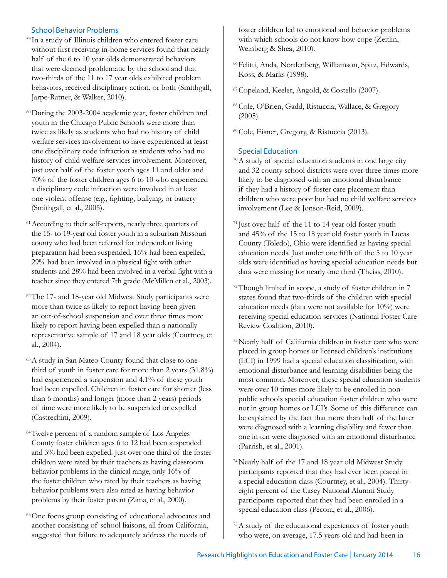## School Behavior Problems

- <sup>59</sup> In a study of Illinois children who entered foster care without first receiving in-home services found that nearly half of the 6 to 10 year olds demonstrated behaviors that were deemed problematic by the school and that two-thirds of the 11 to 17 year olds exhibited problem behaviors, received disciplinary action, or both (Smithgall, Jarpe-Ratner, & Walker, 2010).
- <sup>60</sup>During the 2003-2004 academic year, foster children and youth in the Chicago Public Schools were more than twice as likely as students who had no history of child welfare services involvement to have experienced at least one disciplinary code infraction as students who had no history of child welfare services involvement. Moreover, just over half of the foster youth ages 11 and older and 70% of the foster children ages 6 to 10 who experienced a disciplinary code infraction were involved in at least one violent offense (e.g., fighting, bullying, or battery (Smithgall, et al., 2005).
- <sup>61</sup> According to their self-reports, nearly three quarters of the 15- to 19-year old foster youth in a suburban Missouri county who had been referred for independent living preparation had been suspended, 16% had been expelled, 29% had been involved in a physical fight with other students and 28% had been involved in a verbal fight with a teacher since they entered 7th grade (McMillen et al., 2003).
- <sup>62</sup>The 17- and 18-year old Midwest Study participants were more than twice as likely to report having been given an out-of-school suspension and over three times more likely to report having been expelled than a nationally representative sample of 17 and 18 year olds (Courtney, et al., 2004).
- 63A study in San Mateo County found that close to onethird of youth in foster care for more than 2 years (31.8%) had experienced a suspension and 4.1% of these youth had been expelled. Children in foster care for shorter (less than 6 months) and longer (more than 2 years) periods of time were more likely to be suspended or expelled (Castrechini, 2009).
- <sup>64</sup>Twelve percent of a random sample of Los Angeles County foster children ages 6 to 12 had been suspended and 3% had been expelled. Just over one third of the foster children were rated by their teachers as having classroom behavior problems in the clinical range, only 16% of the foster children who rated by their teachers as having behavior problems were also rated as having behavior problems by their foster parent (Zima, et al., 2000).
- 65One focus group consisting of educational advocates and another consisting of school liaisons, all from California, suggested that failure to adequately address the needs of

foster children led to emotional and behavior problems with which schools do not know how cope (Zeitlin, Weinberg & Shea, 2010).

- 66Felitti, Anda, Nordenberg, Williamson, Spitz, Edwards, Koss, & Marks (1998).
- <sup>67</sup>Copeland, Keeler, Angold, & Costello (2007).
- <sup>68</sup>Cole, O'Brien, Gadd, Ristuccia, Wallace, & Gregory (2005).
- <sup>69</sup>Cole, Eisner, Gregory, & Ristuccia (2013).

## Special Education

- 70A study of special education students in one large city and 32 county school districts were over three times more likely to be diagnosed with an emotional disturbance if they had a history of foster care placement than children who were poor but had no child welfare services involvement (Lee & Jonson-Reid, 2009).
- <sup>71</sup> Just over half of the 11 to 14 year old foster youth and 45% of the 15 to 18 year old foster youth in Lucas County (Toledo), Ohio were identified as having special education needs. Just under one fifth of the 5 to 10 year olds were identified as having special education needs but data were missing for nearly one third (Theiss, 2010).
- 72Though limited in scope, a study of foster children in 7 states found that two-thirds of the children with special education needs (data were not available for 10%) were receiving special education services (National Foster Care Review Coalition, 2010).
- <sup>73</sup>Nearly half of California children in foster care who were placed in group homes or licensed children's institutions (LCI) in 1999 had a special education classification, with emotional disturbance and learning disabilities being the most common. Moreover, these special education students were over 10 times more likely to be enrolled in nonpublic schools special education foster children who were not in group homes or LCI's. Some of this difference can be explained by the fact that more than half of the latter were diagnosed with a learning disability and fewer than one in ten were diagnosed with an emotional disturbance (Parrish, et al., 2001).
- 74Nearly half of the 17 and 18 year old Midwest Study participants reported that they had ever been placed in a special education class (Courtney, et al., 2004). Thirtyeight percent of the Casey National Alumni Study participants reported that they had been enrolled in a special education class (Pecora, et al., 2006).
- 75A study of the educational experiences of foster youth who were, on average, 17.5 years old and had been in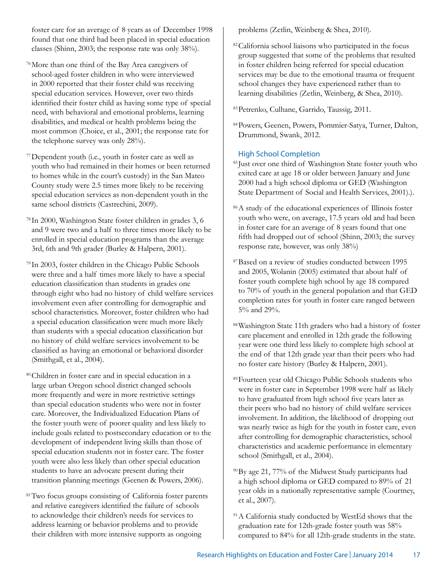foster care for an average of 8 years as of December 1998 found that one third had been placed in special education classes (Shinn, 2003; the response rate was only 38%).

- 76More than one third of the Bay Area caregivers of school-aged foster children in who were interviewed in 2000 reported that their foster child was receiving special education services. However, over two thirds identified their foster child as having some type of special need, with behavioral and emotional problems, learning disabilities, and medical or health problems being the most common (Choice, et al., 2001; the response rate for the telephone survey was only 28%).
- <sup>77</sup>Dependent youth (i.e., youth in foster care as well as youth who had remained in their homes or been returned to homes while in the court's custody) in the San Mateo County study were 2.5 times more likely to be receiving special education services as non-dependent youth in the same school districts (Castrechini, 2009).
- <sup>78</sup> In 2000, Washington State foster children in grades 3, 6 and 9 were two and a half to three times more likely to be enrolled in special education programs than the average 3rd, 6th and 9th grader (Burley & Halpern, 2001).
- <sup>79</sup> In 2003, foster children in the Chicago Public Schools were three and a half times more likely to have a special education classification than students in grades one through eight who had no history of child welfare services involvement even after controlling for demographic and school characteristics. Moreover, foster children who had a special education classification were much more likely than students with a special education classification but no history of child welfare services involvement to be classified as having an emotional or behavioral disorder (Smithgall, et al., 2004).
- <sup>80</sup>Children in foster care and in special education in a large urban Oregon school district changed schools more frequently and were in more restrictive settings than special education students who were not in foster care. Moreover, the Individualized Education Plans of the foster youth were of poorer quality and less likely to include goals related to postsecondary education or to the development of independent living skills than those of special education students not in foster care. The foster youth were also less likely than other special education students to have an advocate present during their transition planning meetings (Geenen & Powers, 2006).
- <sup>81</sup>Two focus groups consisting of California foster parents and relative caregivers identified the failure of schools to acknowledge their children's needs for services to address learning or behavior problems and to provide their children with more intensive supports as ongoing

problems (Zetlin, Weinberg & Shea, 2010).

- <sup>82</sup>California school liaisons who participated in the focus group suggested that some of the problems that resulted in foster children being referred for special education services may be due to the emotional trauma or frequent school changes they have experienced rather than to learning disabilities (Zetlin, Weinberg, & Shea, 2010).
- <sup>83</sup>Petrenko, Culhane, Garrido, Taussig, 2011.
- <sup>84</sup>Powers, Geenen, Powers, Pommier-Satya, Turner, Dalton, Drummond, Swank, 2012.

## High School Completion

- <sup>85</sup> Just over one third of Washington State foster youth who exited care at age 18 or older between January and June 2000 had a high school diploma or GED (Washington State Department of Social and Health Services, 2001).).
- 86A study of the educational experiences of Illinois foster youth who were, on average, 17.5 years old and had been in foster care for an average of 8 years found that one fifth had dropped out of school (Shinn, 2003; the survey response rate, however, was only 38%)
- 87Based on a review of studies conducted between 1995 and 2005, Wolanin (2005) estimated that about half of foster youth complete high school by age 18 compared to 70% of youth in the general population and that GED completion rates for youth in foster care ranged between 5% and 29%.
- 88Washington State 11th graders who had a history of foster care placement and enrolled in 12th grade the following year were one third less likely to complete high school at the end of that 12th grade year than their peers who had no foster care history (Burley & Halpern, 2001).
- <sup>89</sup>Fourteen year old Chicago Public Schools students who were in foster care in September 1998 were half as likely to have graduated from high school five years later as their peers who had no history of child welfare services involvement. In addition, the likelihood of dropping out was nearly twice as high for the youth in foster care, even after controlling for demographic characteristics, school characteristics and academic performance in elementary school (Smithgall, et al., 2004).
- 90By age 21, 77% of the Midwest Study participants had a high school diploma or GED compared to 89% of 21 year olds in a nationally representative sample (Courtney, et al., 2007).
- <sup>91</sup>A California study conducted by WestEd shows that the graduation rate for 12th-grade foster youth was 58% compared to 84% for all 12th-grade students in the state.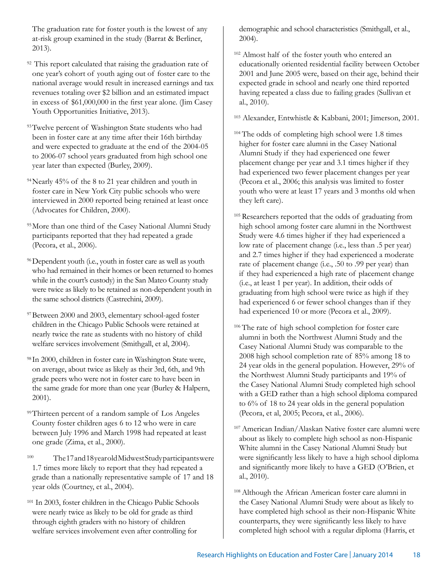The graduation rate for foster youth is the lowest of any at-risk group examined in the study (Barrat & Berliner, 2013).

- <sup>92</sup> This report calculated that raising the graduation rate of one year's cohort of youth aging out of foster care to the national average would result in increased earnings and tax revenues totaling over \$2 billion and an estimated impact in excess of \$61,000,000 in the first year alone. (Jim Casey Youth Opportunities Initiative, 2013).
- 93 Twelve percent of Washington State students who had been in foster care at any time after their 16th birthday and were expected to graduate at the end of the 2004-05 to 2006-07 school years graduated from high school one year later than expected (Burley, 2009).
- 94Nearly 45% of the 8 to 21 year children and youth in foster care in New York City public schools who were interviewed in 2000 reported being retained at least once (Advocates for Children, 2000).
- <sup>95</sup>More than one third of the Casey National Alumni Study participants reported that they had repeated a grade (Pecora, et al., 2006).
- <sup>96</sup> Dependent youth (i.e., youth in foster care as well as youth who had remained in their homes or been returned to homes while in the court's custody) in the San Mateo County study were twice as likely to be retained as non-dependent youth in the same school districts (Castrechini, 2009).
- 97Between 2000 and 2003, elementary school-aged foster children in the Chicago Public Schools were retained at nearly twice the rate as students with no history of child welfare services involvement (Smithgall, et al, 2004).
- <sup>98</sup> In 2000, children in foster care in Washington State were, on average, about twice as likely as their 3rd, 6th, and 9th grade peers who were not in foster care to have been in the same grade for more than one year (Burley & Halpern, 2001).
- <sup>99</sup>Thirteen percent of a random sample of Los Angeles County foster children ages 6 to 12 who were in care between July 1996 and March 1998 had repeated at least one grade (Zima, et al., 2000).
- <sup>100</sup> The 17 and 18 year old Midwest Study participants were 1.7 times more likely to report that they had repeated a grade than a nationally representative sample of 17 and 18 year olds (Courtney, et al., 2004).
- <sup>101</sup> In 2003, foster children in the Chicago Public Schools were nearly twice as likely to be old for grade as third through eighth graders with no history of children welfare services involvement even after controlling for

demographic and school characteristics (Smithgall, et al., 2004).

<sup>102</sup> Almost half of the foster youth who entered an educationally oriented residential facility between October 2001 and June 2005 were, based on their age, behind their expected grade in school and nearly one third reported having repeated a class due to failing grades (Sullivan et al., 2010).

<sup>103</sup> Alexander, Entwhistle & Kabbani, 2001; Jimerson, 2001.

- <sup>104</sup> The odds of completing high school were 1.8 times higher for foster care alumni in the Casey National Alumni Study if they had experienced one fewer placement change per year and 3.1 times higher if they had experienced two fewer placement changes per year (Pecora et al., 2006; this analysis was limited to foster youth who were at least 17 years and 3 months old when they left care).
- <sup>105</sup> Researchers reported that the odds of graduating from high school among foster care alumni in the Northwest Study were 4.6 times higher if they had experienced a low rate of placement change (i.e., less than .5 per year) and 2.7 times higher if they had experienced a moderate rate of placement change (i.e., .50 to .99 per year) than if they had experienced a high rate of placement change (i.e., at least 1 per year). In addition, their odds of graduating from high school were twice as high if they had experienced 6 or fewer school changes than if they had experienced 10 or more (Pecora et al., 2009).
- <sup>106</sup> The rate of high school completion for foster care alumni in both the Northwest Alumni Study and the Casey National Alumni Study was comparable to the 2008 high school completion rate of 85% among 18 to 24 year olds in the general population. However, 29% of the Northwest Alumni Study participants and 19% of the Casey National Alumni Study completed high school with a GED rather than a high school diploma compared to 6% of 18 to 24 year olds in the general population (Pecora, et al, 2005; Pecora, et al., 2006).
- <sup>107</sup> American Indian/Alaskan Native foster care alumni were about as likely to complete high school as non-Hispanic White alumni in the Casey National Alumni Study but were significantly less likely to have a high school diploma and significantly more likely to have a GED (O'Brien, et al., 2010).
- <sup>108</sup> Although the African American foster care alumni in the Casey National Alumni Study were about as likely to have completed high school as their non-Hispanic White counterparts, they were significantly less likely to have completed high school with a regular diploma (Harris, et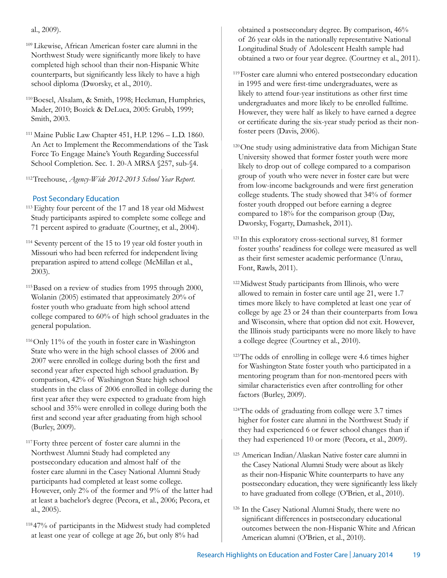al., 2009).

- <sup>109</sup> Likewise, African American foster care alumni in the Northwest Study were significantly more likely to have completed high school than their non-Hispanic White counterparts, but significantly less likely to have a high school diploma (Dworsky, et al., 2010).
- <sup>110</sup>Boesel, Alsalam, & Smith, 1998; Heckman, Humphries, Mader, 2010; Bozick & DeLuca, 2005: Grubb, 1999; Smith, 2003.
- <sup>111</sup> Maine Public Law Chapter 451, H.P. 1296 L.D. 1860. An Act to Implement the Recommendations of the Task Force To Engage Maine's Youth Regarding Successful School Completion. Sec. 1. 20-A MRSA §257, sub-§4.
- 112Treehouse, *Agency-Wide 2012-2013 School Year Report*.

## Post Secondary Education

- <sup>113</sup> Eighty four percent of the 17 and 18 year old Midwest Study participants aspired to complete some college and 71 percent aspired to graduate (Courtney, et al., 2004).
- 114 Seventy percent of the 15 to 19 year old foster youth in Missouri who had been referred for independent living preparation aspired to attend college (McMillan et al., 2003).
- 115Based on a review of studies from 1995 through 2000, Wolanin (2005) estimated that approximately 20% of foster youth who graduate from high school attend college compared to 60% of high school graduates in the general population.
- 116Only 11% of the youth in foster care in Washington State who were in the high school classes of 2006 and 2007 were enrolled in college during both the first and second year after expected high school graduation. By comparison, 42% of Washington State high school students in the class of 2006 enrolled in college during the first year after they were expected to graduate from high school and 35% were enrolled in college during both the first and second year after graduating from high school (Burley, 2009).
- 117Forty three percent of foster care alumni in the Northwest Alumni Study had completed any postsecondary education and almost half of the foster care alumni in the Casey National Alumni Study participants had completed at least some college. However, only 2% of the former and 9% of the latter had at least a bachelor's degree (Pecora, et al., 2006; Pecora, et al., 2005).
- <sup>118</sup> 47% of participants in the Midwest study had completed at least one year of college at age 26, but only 8% had

obtained a postsecondary degree. By comparison, 46% of 26 year olds in the nationally representative National Longitudinal Study of Adolescent Health sample had obtained a two or four year degree. (Courtney et al., 2011).

- 119Foster care alumni who entered postsecondary education in 1995 and were first-time undergraduates, were as likely to attend four-year institutions as other first time undergraduates and more likely to be enrolled fulltime. However, they were half as likely to have earned a degree or certificate during the six-year study period as their nonfoster peers (Davis, 2006).
- <sup>120</sup>One study using administrative data from Michigan State University showed that former foster youth were more likely to drop out of college compared to a comparison group of youth who were never in foster care but were from low-income backgrounds and were first generation college students. The study showed that 34% of former foster youth dropped out before earning a degree compared to 18% for the comparison group (Day, Dworsky, Fogarty, Damashek, 2011).
- <sup>121</sup> In this exploratory cross-sectional survey, 81 former foster youths' readiness for college were measured as well as their first semester academic performance (Unrau, Font, Rawls, 2011).
- 122Midwest Study participants from Illinois, who were allowed to remain in foster care until age 21, were 1.7 times more likely to have completed at least one year of college by age 23 or 24 than their counterparts from Iowa and Wisconsin, where that option did not exit. However, the Illinois study participants were no more likely to have a college degree (Courtney et al., 2010).
- 123The odds of enrolling in college were 4.6 times higher for Washington State foster youth who participated in a mentoring program than for non-mentored peers with similar characteristics even after controlling for other factors (Burley, 2009).
- 124The odds of graduating from college were 3.7 times higher for foster care alumni in the Northwest Study if they had experienced 6 or fewer school changes than if they had experienced 10 or more (Pecora, et al., 2009).
- <sup>125</sup> American Indian/Alaskan Native foster care alumni in the Casey National Alumni Study were about as likely as their non-Hispanic White counterparts to have any postsecondary education, they were significantly less likely to have graduated from college (O'Brien, et al., 2010).
- <sup>126</sup> In the Casey National Alumni Study, there were no significant differences in postsecondary educational outcomes between the non-Hispanic White and African American alumni (O'Brien, et al., 2010).